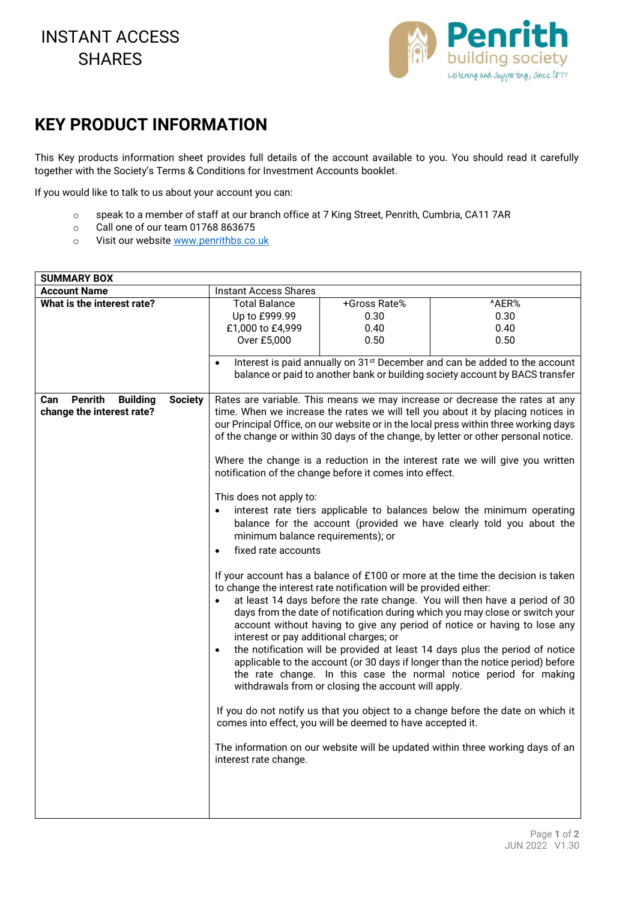## INSTANT ACCESS **SHARES**



## **KEY PRODUCT INFORMATION**

This Key products information sheet provides full details of the account available to you. You should read it carefully together with the Society's Terms & Conditions for Investment Accounts booklet.

If you would like to talk to us about your account you can:

- o speak to a member of staff at our branch office at 7 King Street, Penrith, Cumbria, CA11 7AR
- o Call one of our team 01768 863675
- o Visit our website www.penrithbs.co.uk

| <b>SUMMARY BOX</b>                                         |                                                                                      |                                                                                     |                                                                                        |  |
|------------------------------------------------------------|--------------------------------------------------------------------------------------|-------------------------------------------------------------------------------------|----------------------------------------------------------------------------------------|--|
| <b>Account Name</b>                                        | <b>Instant Access Shares</b>                                                         |                                                                                     |                                                                                        |  |
| What is the interest rate?                                 | <b>Total Balance</b>                                                                 | +Gross Rate%                                                                        | ^AER%                                                                                  |  |
|                                                            | Up to £999.99                                                                        | 0.30                                                                                | 0.30                                                                                   |  |
|                                                            | £1,000 to £4,999                                                                     | 0.40                                                                                | 0.40                                                                                   |  |
|                                                            | Over £5,000                                                                          | 0.50                                                                                | 0.50                                                                                   |  |
|                                                            |                                                                                      |                                                                                     |                                                                                        |  |
|                                                            | $\bullet$                                                                            |                                                                                     | Interest is paid annually on 31 <sup>st</sup> December and can be added to the account |  |
|                                                            |                                                                                      |                                                                                     | balance or paid to another bank or building society account by BACS transfer           |  |
| <b>Penrith</b><br><b>Building</b><br><b>Society</b><br>Can |                                                                                      |                                                                                     | Rates are variable. This means we may increase or decrease the rates at any            |  |
| change the interest rate?                                  |                                                                                      |                                                                                     | time. When we increase the rates we will tell you about it by placing notices in       |  |
|                                                            | our Principal Office, on our website or in the local press within three working days |                                                                                     |                                                                                        |  |
|                                                            |                                                                                      |                                                                                     | of the change or within 30 days of the change, by letter or other personal notice.     |  |
|                                                            |                                                                                      |                                                                                     |                                                                                        |  |
|                                                            | Where the change is a reduction in the interest rate we will give you written        |                                                                                     |                                                                                        |  |
|                                                            | notification of the change before it comes into effect.                              |                                                                                     |                                                                                        |  |
|                                                            |                                                                                      |                                                                                     |                                                                                        |  |
|                                                            | This does not apply to:                                                              |                                                                                     |                                                                                        |  |
|                                                            |                                                                                      | interest rate tiers applicable to balances below the minimum operating<br>$\bullet$ |                                                                                        |  |
|                                                            |                                                                                      | balance for the account (provided we have clearly told you about the                |                                                                                        |  |
|                                                            | minimum balance requirements); or                                                    |                                                                                     |                                                                                        |  |
|                                                            | fixed rate accounts<br>$\bullet$                                                     |                                                                                     |                                                                                        |  |
|                                                            | If your account has a balance of £100 or more at the time the decision is taken      |                                                                                     |                                                                                        |  |
|                                                            | to change the interest rate notification will be provided either:                    |                                                                                     |                                                                                        |  |
|                                                            | at least 14 days before the rate change. You will then have a period of 30           |                                                                                     |                                                                                        |  |
|                                                            | days from the date of notification during which you may close or switch your         |                                                                                     |                                                                                        |  |
|                                                            | account without having to give any period of notice or having to lose any            |                                                                                     |                                                                                        |  |
|                                                            | interest or pay additional charges; or                                               |                                                                                     |                                                                                        |  |
|                                                            | $\bullet$                                                                            |                                                                                     | the notification will be provided at least 14 days plus the period of notice           |  |
|                                                            |                                                                                      |                                                                                     | applicable to the account (or 30 days if longer than the notice period) before         |  |
|                                                            |                                                                                      |                                                                                     | the rate change. In this case the normal notice period for making                      |  |
|                                                            |                                                                                      | withdrawals from or closing the account will apply.                                 |                                                                                        |  |
|                                                            |                                                                                      |                                                                                     | If you do not notify us that you object to a change before the date on which it        |  |
|                                                            |                                                                                      | comes into effect, you will be deemed to have accepted it.                          |                                                                                        |  |
|                                                            |                                                                                      |                                                                                     |                                                                                        |  |
|                                                            |                                                                                      |                                                                                     | The information on our website will be updated within three working days of an         |  |
|                                                            | interest rate change.                                                                |                                                                                     |                                                                                        |  |
|                                                            |                                                                                      |                                                                                     |                                                                                        |  |
|                                                            |                                                                                      |                                                                                     |                                                                                        |  |
|                                                            |                                                                                      |                                                                                     |                                                                                        |  |
|                                                            |                                                                                      |                                                                                     |                                                                                        |  |